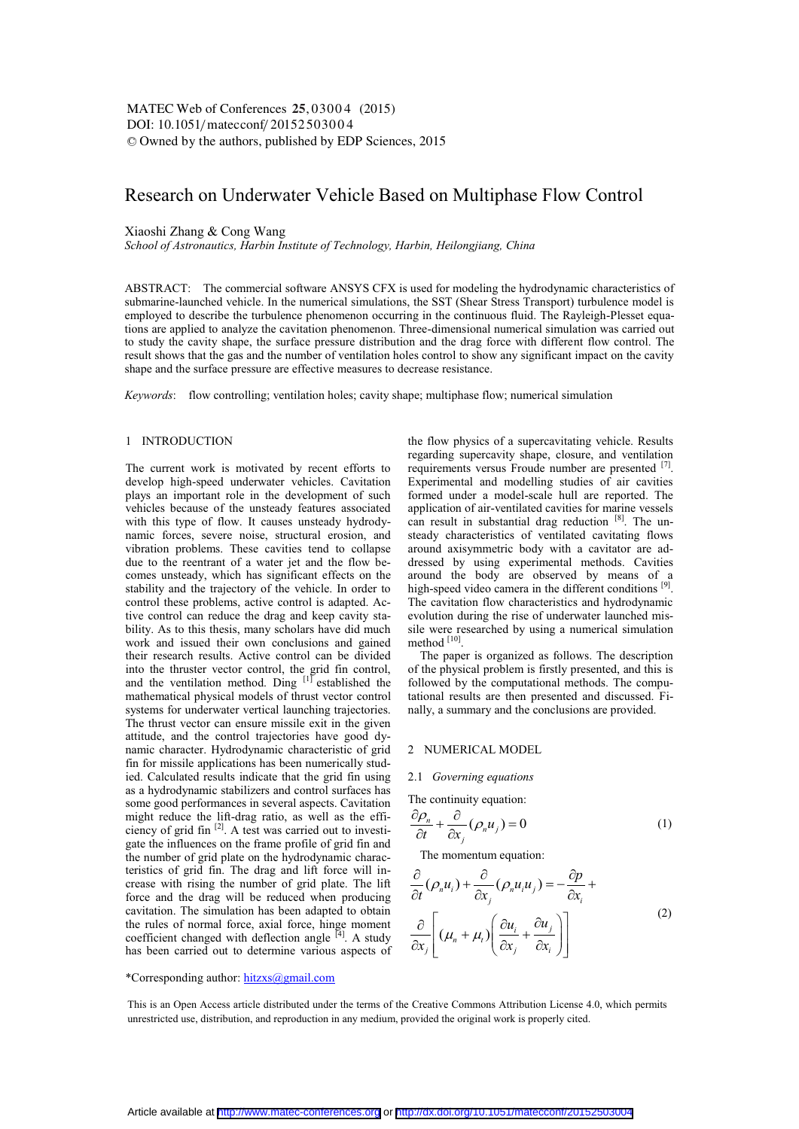# Research on Underwater Vehicle Based on Multiphase Flow Control

## Xiaoshi Zhang & Cong Wang

*School of Astronautics, Harbin Institute of Technology, Harbin, Heilongjiang, China* 

ABSTRACT: The commercial software ANSYS CFX is used for modeling the hydrodynamic characteristics of submarine-launched vehicle. In the numerical simulations, the SST (Shear Stress Transport) turbulence model is employed to describe the turbulence phenomenon occurring in the continuous fluid. The Rayleigh-Plesset equations are applied to analyze the cavitation phenomenon. Three-dimensional numerical simulation was carried out to study the cavity shape, the surface pressure distribution and the drag force with different flow control. The result shows that the gas and the number of ventilation holes control to show any significant impact on the cavity shape and the surface pressure are effective measures to decrease resistance.

*Keywords*: flow controlling; ventilation holes; cavity shape; multiphase flow; numerical simulation

## 1 INTRODUCTION

The current work is motivated by recent efforts to develop high-speed underwater vehicles. Cavitation plays an important role in the development of such vehicles because of the unsteady features associated with this type of flow. It causes unsteady hydrodynamic forces, severe noise, structural erosion, and vibration problems. These cavities tend to collapse due to the reentrant of a water jet and the flow becomes unsteady, which has significant effects on the stability and the trajectory of the vehicle. In order to control these problems, active control is adapted. Active control can reduce the drag and keep cavity stability. As to this thesis, many scholars have did much work and issued their own conclusions and gained their research results. Active control can be divided into the thruster vector control, the grid fin control, and the ventilation method. Ding  $\left[1\right]$  established the mathematical physical models of thrust vector control systems for underwater vertical launching trajectories. The thrust vector can ensure missile exit in the given attitude, and the control trajectories have good dynamic character. Hydrodynamic characteristic of grid fin for missile applications has been numerically studied. Calculated results indicate that the grid fin using as a hydrodynamic stabilizers and control surfaces has some good performances in several aspects. Cavitation might reduce the lift-drag ratio, as well as the efficiency of grid fin [2]. A test was carried out to investigate the influences on the frame profile of grid fin and the number of grid plate on the hydrodynamic characteristics of grid fin. The drag and lift force will increase with rising the number of grid plate. The lift force and the drag will be reduced when producing cavitation. The simulation has been adapted to obtain the rules of normal force, axial force, hinge moment coefficient changed with deflection angle  $^{[4]}$ . A study has been carried out to determine various aspects of the flow physics of a supercavitating vehicle. Results regarding supercavity shape, closure, and ventilation requirements versus Froude number are presented [7]. Experimental and modelling studies of air cavities formed under a model-scale hull are reported. The application of air-ventilated cavities for marine vessels can result in substantial drag reduction [8]. The unsteady characteristics of ventilated cavitating flows around axisymmetric body with a cavitator are addressed by using experimental methods. Cavities around the body are observed by means of a high-speed video camera in the different conditions [9]. The cavitation flow characteristics and hydrodynamic evolution during the rise of underwater launched missile were researched by using a numerical simulation method [10].

The paper is organized as follows. The description of the physical problem is firstly presented, and this is followed by the computational methods. The computational results are then presented and discussed. Finally, a summary and the conclusions are provided.

# 2 NUMERICAL MODEL

#### 2.1 *Governing equations*

The continuity equation:

$$
\frac{\partial \rho_n}{\partial t} + \frac{\partial}{\partial x_j} (\rho_n u_j) = 0 \tag{1}
$$

The momentum equation:

$$
\frac{\partial}{\partial t}(\rho_n u_i) + \frac{\partial}{\partial x_j}(\rho_n u_i u_j) = -\frac{\partial p}{\partial x_i} + \frac{\partial}{\partial x_j}(\mu_n + \mu_i) \left(\frac{\partial u_i}{\partial x_j} + \frac{\partial u_j}{\partial x_i}\right)
$$
\n(2)

\*Corresponding author: hitzxs@gmail.com

This is an Open Access article distributed under the terms of the Creative Commons Attribution License 4.0, which permits unrestricted use, distribution, and reproduction in any medium, provided the original work is properly cited.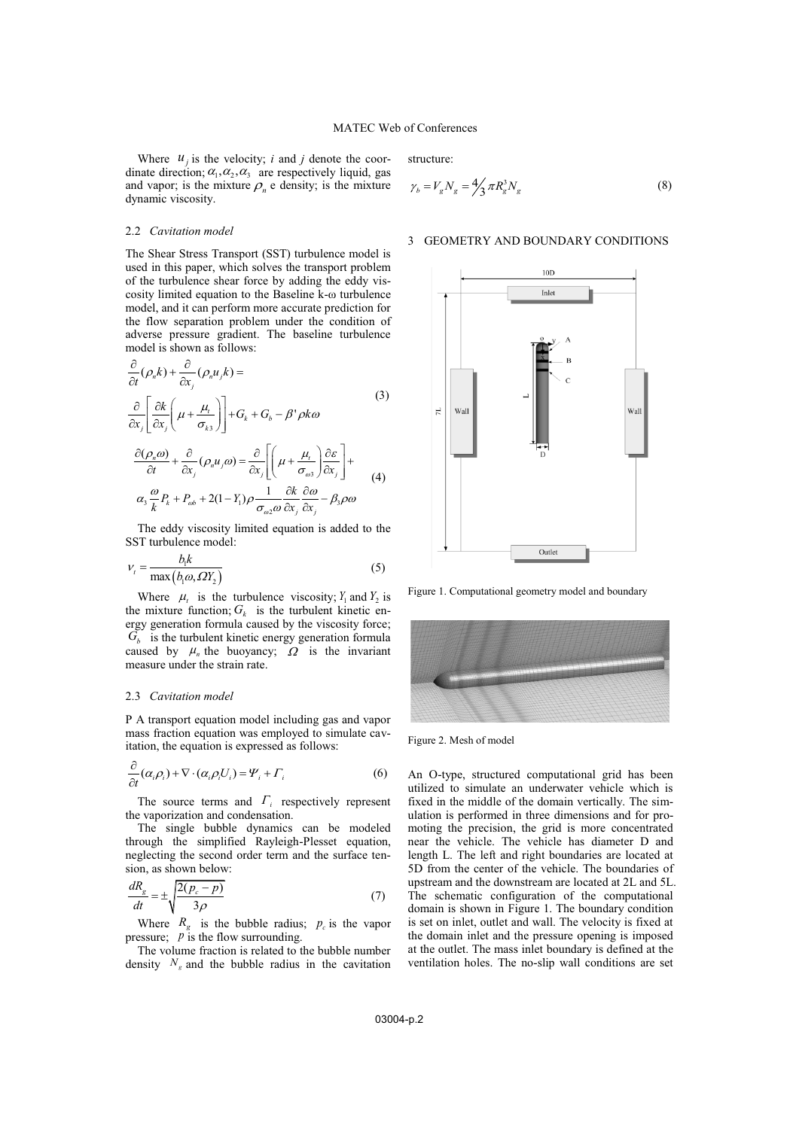Where  $u_i$  is the velocity; *i* and *j* denote the coordinate direction;  $\alpha_1, \alpha_2, \alpha_3$  are respectively liquid, gas and vapor; is the mixture  $\rho_n$  e density; is the mixture dynamic viscosity.

# 2.2 *Cavitation model*

The Shear Stress Transport (SST) turbulence model is used in this paper, which solves the transport problem of the turbulence shear force by adding the eddy viscosity limited equation to the Baseline k-ω turbulence model, and it can perform more accurate prediction for the flow separation problem under the condition of adverse pressure gradient. The baseline turbulence model is shown as follows:

$$
\frac{\partial}{\partial t}(\rho_n k) + \frac{\partial}{\partial x_j}(\rho_n u_j k) =
$$
\n
$$
\frac{\partial}{\partial x_j} \left[ \frac{\partial k}{\partial x_j} \left( \mu + \frac{\mu_t}{\sigma_{ks}} \right) \right] + G_k + G_b - \beta' \rho k \omega
$$
\n
$$
\frac{\partial (\rho_n \omega)}{\partial t} + \frac{\partial}{\partial x_j}(\rho_n u_j \omega) = \frac{\partial}{\partial x_j} \left[ \left( \mu + \frac{\mu_t}{\sigma_{\omega s}} \right) \frac{\partial \varepsilon}{\partial x_j} \right] +
$$
\n(4)

$$
\frac{\partial t}{\partial x_j} \frac{\partial x_j}{\partial x_j} + \frac{\partial x_j}{\partial x_j} \left[ \left( \frac{\partial x_j}{\partial x_j} \right) \frac{\partial x_j}{\partial x_j} \right] \tag{4}
$$
\n
$$
\alpha_3 \frac{\omega}{k} P_k + P_{\omega b} + 2(1 - Y_1) \rho \frac{1}{\sigma_{\omega 2} \omega} \frac{\partial k}{\partial x_j} \frac{\partial \omega}{\partial x_j} - \beta_3 \rho \omega
$$

The eddy viscosity limited equation is added to the SST turbulence model:

$$
V_t = \frac{b_1 k}{\max(b_1 \omega, \Omega Y_2)}
$$
 (5)

Where  $\mu_t$  is the turbulence viscosity;  $Y_1$  and  $Y_2$  is the mixture function;  $G_k$  is the turbulent kinetic energy generation formula caused by the viscosity force;  $G_b$  is the turbulent kinetic energy generation formula caused by  $\mu_n$  the buoyancy;  $\Omega$  is the invariant measure under the strain rate.

#### 2.3 *Cavitation model*

P A transport equation model including gas and vapor mass fraction equation was employed to simulate cavitation, the equation is expressed as follows:

$$
\frac{\partial}{\partial t}(\alpha_i \rho_i) + \nabla \cdot (\alpha_i \rho_i U_i) = \Psi_i + \Gamma_i
$$
\n(6)

The source terms and  $\Gamma_i$  respectively represent the vaporization and condensation.

The single bubble dynamics can be modeled through the simplified Rayleigh-Plesset equation, neglecting the second order term and the surface tension, as shown below:

$$
\frac{dR_g}{dt} = \pm \sqrt{\frac{2(p_c - p)}{3\rho}}\tag{7}
$$

Where  $R_g$  is the bubble radius;  $p_c$  is the vapor pressure: *p* is the flow surrounding.

The volume fraction is related to the bubble number density  $N_g$  and the bubble radius in the cavitation structure:

$$
\gamma_b = V_g N_g = \frac{4}{3} \pi R_g^3 N_g \tag{8}
$$

#### 3 GEOMETRY AND BOUNDARY CONDITIONS



Figure 1. Computational geometry model and boundary



Figure 2. Mesh of model

An O-type, structured computational grid has been utilized to simulate an underwater vehicle which is fixed in the middle of the domain vertically. The simulation is performed in three dimensions and for promoting the precision, the grid is more concentrated near the vehicle. The vehicle has diameter D and length L. The left and right boundaries are located at 5D from the center of the vehicle. The boundaries of upstream and the downstream are located at 2L and 5L. The schematic configuration of the computational domain is shown in Figure 1. The boundary condition is set on inlet, outlet and wall. The velocity is fixed at the domain inlet and the pressure opening is imposed at the outlet. The mass inlet boundary is defined at the ventilation holes. The no-slip wall conditions are set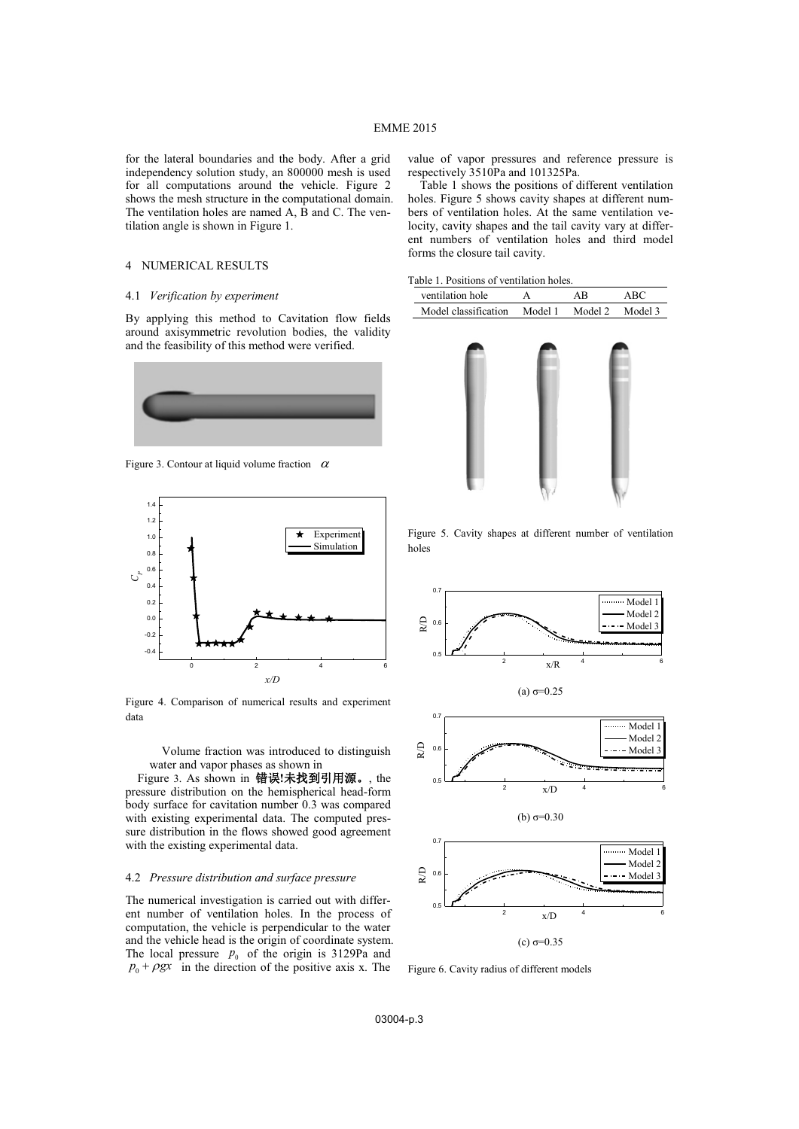for the lateral boundaries and the body. After a grid independency solution study, an 800000 mesh is used for all computations around the vehicle. Figure 2 shows the mesh structure in the computational domain. The ventilation holes are named A, B and C. The ventilation angle is shown in Figure 1.

## 4 NUMERICAL RESULTS

#### 4.1 *Verification by experiment*

By applying this method to Cavitation flow fields around axisymmetric revolution bodies, the validity and the feasibility of this method were verified.



Figure 3. Contour at liquid volume fraction  $\alpha$ 



Figure 4. Comparison of numerical results and experiment data

Volume fraction was introduced to distinguish water and vapor phases as shown in

Figure 3. As shown in 错误!未找到引用源。, the pressure distribution on the hemispherical head-form body surface for cavitation number 0.3 was compared with existing experimental data. The computed pressure distribution in the flows showed good agreement with the existing experimental data.

## 4.2 *Pressure distribution and surface pressure*

The numerical investigation is carried out with different number of ventilation holes. In the process of computation, the vehicle is perpendicular to the water and the vehicle head is the origin of coordinate system. The local pressure  $p_0$  of the origin is 3129Pa and  $p_0 + \rho gx$  in the direction of the positive axis x. The

value of vapor pressures and reference pressure is respectively 3510Pa and 101325Pa.

Table 1 shows the positions of different ventilation holes. Figure 5 shows cavity shapes at different numbers of ventilation holes. At the same ventilation velocity, cavity shapes and the tail cavity vary at different numbers of ventilation holes and third model forms the closure tail cavity.

| ventilation hole     |         | ΑB      | ABC     |
|----------------------|---------|---------|---------|
| Model classification | Model 1 | Model 2 | Model 3 |
|                      |         |         |         |



Figure 5. Cavity shapes at different number of ventilation holes









Figure 6. Cavity radius of different models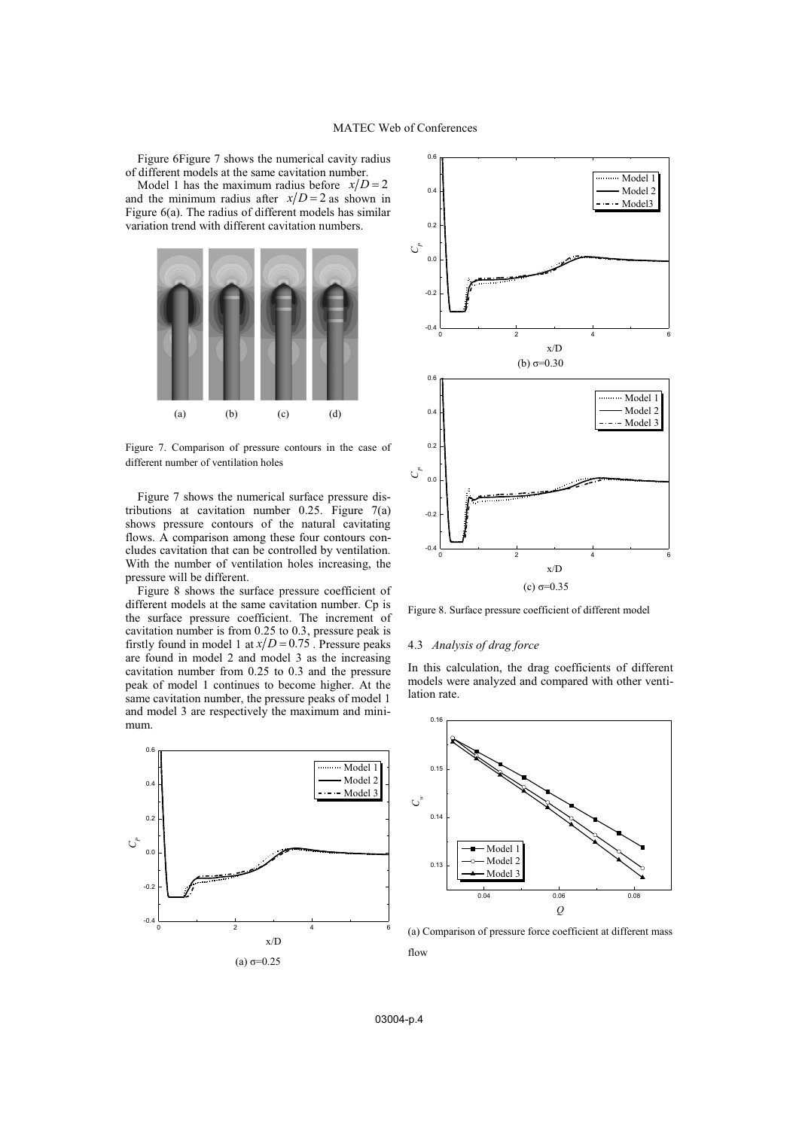Figure 6Figure 7 shows the numerical cavity radius of different models at the same cavitation number.

Model 1 has the maximum radius before  $x/D = 2$ and the minimum radius after  $x/D = 2$  as shown in Figure 6(a). The radius of different models has similar variation trend with different cavitation numbers.



Figure 7. Comparison of pressure contours in the case of different number of ventilation holes

Figure 7 shows the numerical surface pressure distributions at cavitation number 0.25. Figure 7(a) shows pressure contours of the natural cavitating flows. A comparison among these four contours concludes cavitation that can be controlled by ventilation. With the number of ventilation holes increasing, the pressure will be different.

Figure 8 shows the surface pressure coefficient of different models at the same cavitation number. Cp is the surface pressure coefficient. The increment of cavitation number is from 0.25 to 0.3, pressure peak is firstly found in model 1 at  $x/D = 0.75$ . Pressure peaks are found in model 2 and model 3 as the increasing cavitation number from 0.25 to 0.3 and the pressure peak of model 1 continues to become higher. At the same cavitation number, the pressure peaks of model 1 and model 3 are respectively the maximum and minimum.





Figure 8. Surface pressure coefficient of different model

## 4.3 *Analysis of drag force*

In this calculation, the drag coefficients of different models were analyzed and compared with other ventilation rate.



(a) Comparison of pressure force coefficient at different mass flow